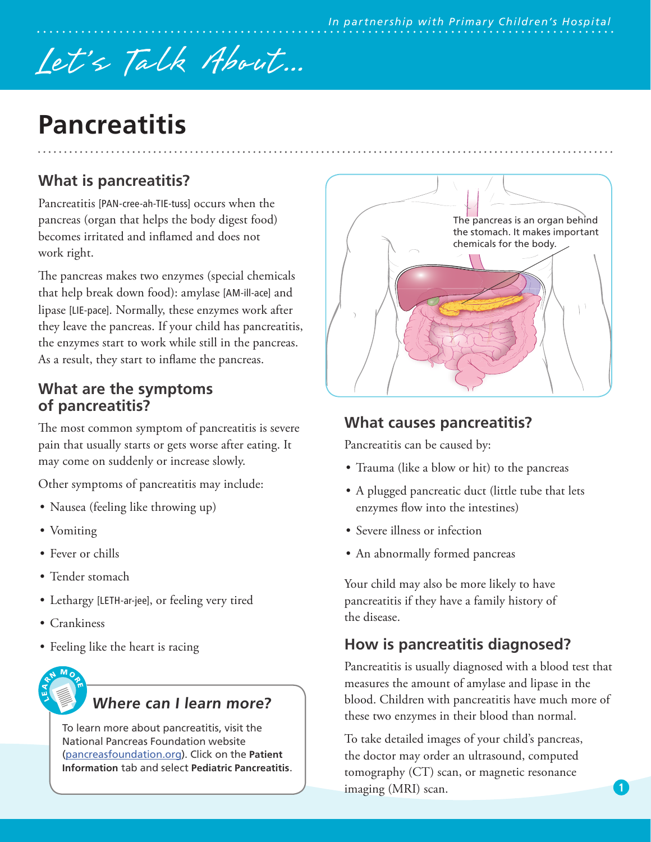# Let's Talk About...

# **Pancreatitis**

## **What is pancreatitis?**

Pancreatitis [PAN-cree-ah-TIE-tuss] occurs when the pancreas (organ that helps the body digest food) becomes irritated and inflamed and does not work right.

The pancreas makes two enzymes (special chemicals that help break down food): amylase [AM-ill-ace] and lipase [LIE-pace]. Normally, these enzymes work after they leave the pancreas. If your child has pancreatitis, the enzymes start to work while still in the pancreas. As a result, they start to inflame the pancreas.

#### **What are the symptoms of pancreatitis?**

The most common symptom of pancreatitis is severe pain that usually starts or gets worse after eating. It may come on suddenly or increase slowly.

Other symptoms of pancreatitis may include:

- Nausea (feeling like throwing up)
- Vomiting
- Fever or chills
- Tender stomach
- Lethargy [LETH-ar-jee], or feeling very tired
- Crankiness
- Feeling like the heart is racing



#### **Where can I learn more?**

To learn more about pancreatitis, visit the National Pancreas Foundation website ([pancreasfoundation.org\)](http://www.pancreasfoundation.org). Click on the **Patient Information** tab and select **Pediatric Pancreatitis**.



#### **What causes pancreatitis?**

Pancreatitis can be caused by:

- Trauma (like a blow or hit) to the pancreas
- A plugged pancreatic duct (little tube that lets enzymes flow into the intestines)
- Severe illness or infection
- An abnormally formed pancreas

Your child may also be more likely to have pancreatitis if they have a family history of the disease.

### **How is pancreatitis diagnosed?**

Pancreatitis is usually diagnosed with a blood test that measures the amount of amylase and lipase in the blood. Children with pancreatitis have much more of these two enzymes in their blood than normal.

To take detailed images of your child's pancreas, the doctor may order an ultrasound, computed tomography (CT) scan, or magnetic resonance imaging (MRI) scan.